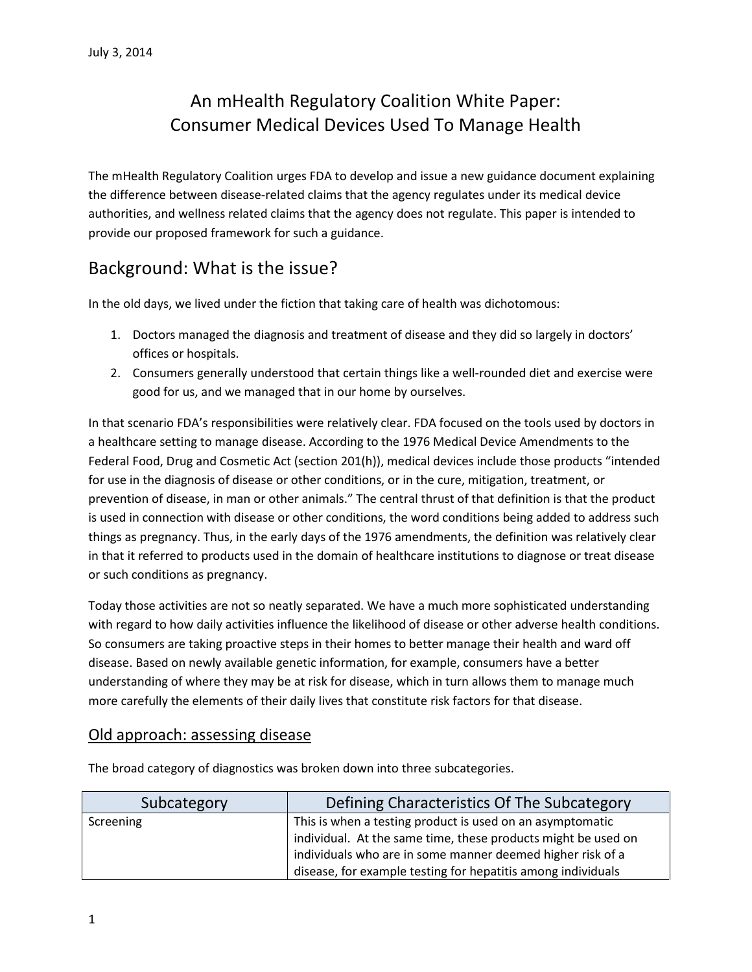## An mHealth Regulatory Coalition White Paper: Consumer Medical Devices Used To Manage Health

The mHealth Regulatory Coalition urges FDA to develop and issue a new guidance document explaining the difference between disease-related claims that the agency regulates under its medical device authorities, and wellness related claims that the agency does not regulate. This paper is intended to provide our proposed framework for such a guidance.

## Background: What is the issue?

In the old days, we lived under the fiction that taking care of health was dichotomous:

- 1. Doctors managed the diagnosis and treatment of disease and they did so largely in doctors' offices or hospitals.
- 2. Consumers generally understood that certain things like a well-rounded diet and exercise were good for us, and we managed that in our home by ourselves.

In that scenario FDA's responsibilities were relatively clear. FDA focused on the tools used by doctors in a healthcare setting to manage disease. According to the 1976 Medical Device Amendments to the Federal Food, Drug and Cosmetic Act (section 201(h)), medical devices include those products "intended for use in the diagnosis of disease or other conditions, or in the cure, mitigation, treatment, or prevention of disease, in man or other animals." The central thrust of that definition is that the product is used in connection with disease or other conditions, the word conditions being added to address such things as pregnancy. Thus, in the early days of the 1976 amendments, the definition was relatively clear in that it referred to products used in the domain of healthcare institutions to diagnose or treat disease or such conditions as pregnancy.

Today those activities are not so neatly separated. We have a much more sophisticated understanding with regard to how daily activities influence the likelihood of disease or other adverse health conditions. So consumers are taking proactive steps in their homes to better manage their health and ward off disease. Based on newly available genetic information, for example, consumers have a better understanding of where they may be at risk for disease, which in turn allows them to manage much more carefully the elements of their daily lives that constitute risk factors for that disease.

#### Old approach: assessing disease

Subcategory **Defining Characteristics Of The Subcategory** Screening **This is when a testing product is used on an asymptomatic** individual. At the same time, these products might be used on individuals who are in some manner deemed higher risk of a disease, for example testing for hepatitis among individuals

The broad category of diagnostics was broken down into three subcategories.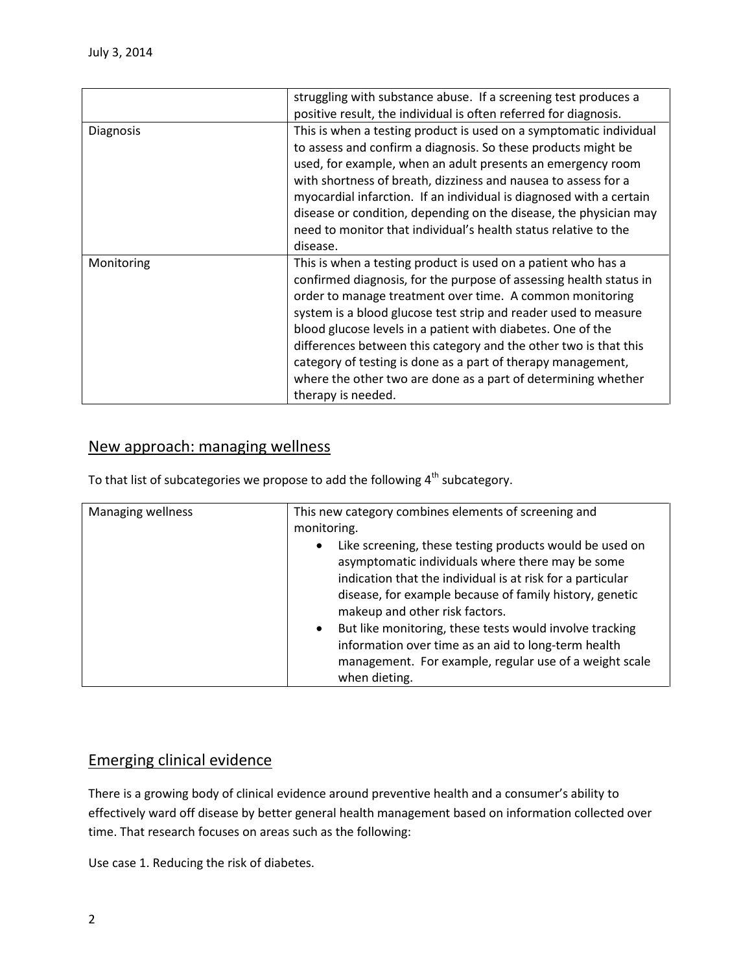|                  | struggling with substance abuse. If a screening test produces a     |
|------------------|---------------------------------------------------------------------|
|                  | positive result, the individual is often referred for diagnosis.    |
| <b>Diagnosis</b> | This is when a testing product is used on a symptomatic individual  |
|                  | to assess and confirm a diagnosis. So these products might be       |
|                  | used, for example, when an adult presents an emergency room         |
|                  | with shortness of breath, dizziness and nausea to assess for a      |
|                  | myocardial infarction. If an individual is diagnosed with a certain |
|                  | disease or condition, depending on the disease, the physician may   |
|                  | need to monitor that individual's health status relative to the     |
|                  | disease.                                                            |
| Monitoring       | This is when a testing product is used on a patient who has a       |
|                  | confirmed diagnosis, for the purpose of assessing health status in  |
|                  | order to manage treatment over time. A common monitoring            |
|                  | system is a blood glucose test strip and reader used to measure     |
|                  | blood glucose levels in a patient with diabetes. One of the         |
|                  | differences between this category and the other two is that this    |
|                  | category of testing is done as a part of therapy management,        |
|                  | where the other two are done as a part of determining whether       |
|                  | therapy is needed.                                                  |

#### New approach: managing wellness

To that list of subcategories we propose to add the following 4<sup>th</sup> subcategory.

| Managing wellness | This new category combines elements of screening and                                                                                                                                                                                                                                                                                                                                                                                                                                          |
|-------------------|-----------------------------------------------------------------------------------------------------------------------------------------------------------------------------------------------------------------------------------------------------------------------------------------------------------------------------------------------------------------------------------------------------------------------------------------------------------------------------------------------|
|                   | monitoring.                                                                                                                                                                                                                                                                                                                                                                                                                                                                                   |
|                   | Like screening, these testing products would be used on<br>$\bullet$<br>asymptomatic individuals where there may be some<br>indication that the individual is at risk for a particular<br>disease, for example because of family history, genetic<br>makeup and other risk factors.<br>But like monitoring, these tests would involve tracking<br>$\bullet$<br>information over time as an aid to long-term health<br>management. For example, regular use of a weight scale<br>when dieting. |

#### Emerging clinical evidence

There is a growing body of clinical evidence around preventive health and a consumer's ability to effectively ward off disease by better general health management based on information collected over time. That research focuses on areas such as the following:

Use case 1. Reducing the risk of diabetes.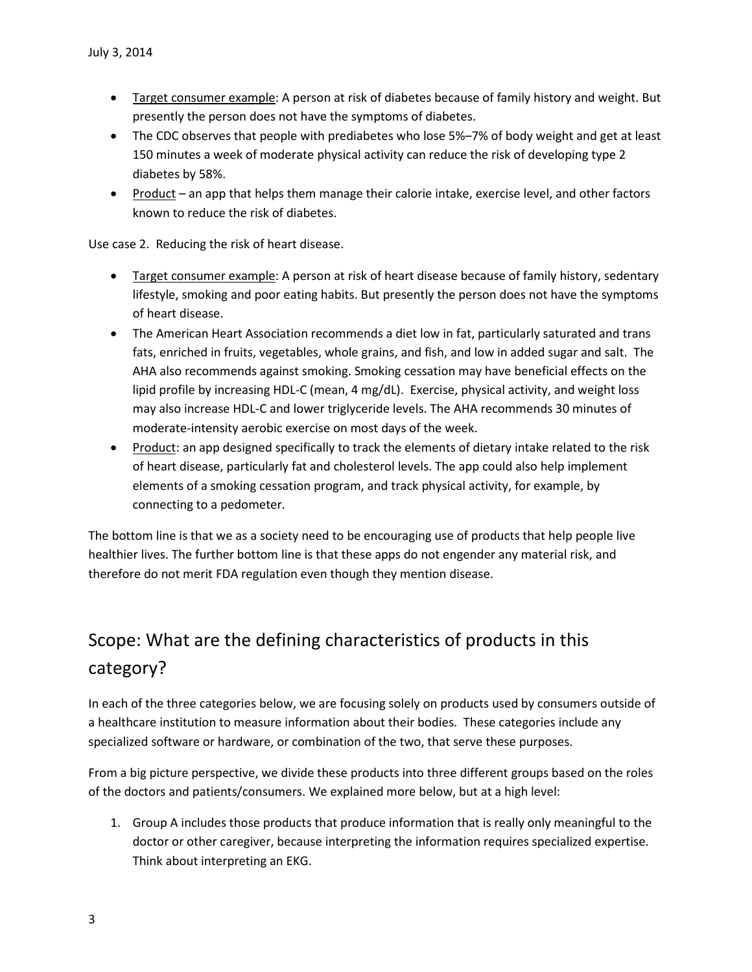- Target consumer example: A person at risk of diabetes because of family history and weight. But presently the person does not have the symptoms of diabetes.
- The CDC observes that people with prediabetes who lose 5%–7% of body weight and get at least 150 minutes a week of moderate physical activity can reduce the risk of developing type 2 diabetes by 58%.
- Product an app that helps them manage their calorie intake, exercise level, and other factors known to reduce the risk of diabetes.

Use case 2. Reducing the risk of heart disease.

- Target consumer example: A person at risk of heart disease because of family history, sedentary lifestyle, smoking and poor eating habits. But presently the person does not have the symptoms of heart disease.
- The American Heart Association recommends a diet low in fat, particularly saturated and trans fats, enriched in fruits, vegetables, whole grains, and fish, and low in added sugar and salt. The AHA also recommends against smoking. Smoking cessation may have beneficial effects on the lipid profile by increasing HDL-C (mean, 4 mg/dL). Exercise, physical activity, and weight loss may also increase HDL-C and lower triglyceride levels. The AHA recommends 30 minutes of moderate-intensity aerobic exercise on most days of the week.
- Product: an app designed specifically to track the elements of dietary intake related to the risk of heart disease, particularly fat and cholesterol levels. The app could also help implement elements of a smoking cessation program, and track physical activity, for example, by connecting to a pedometer.

The bottom line is that we as a society need to be encouraging use of products that help people live healthier lives. The further bottom line is that these apps do not engender any material risk, and therefore do not merit FDA regulation even though they mention disease.

# Scope: What are the defining characteristics of products in this category?

In each of the three categories below, we are focusing solely on products used by consumers outside of a healthcare institution to measure information about their bodies. These categories include any specialized software or hardware, or combination of the two, that serve these purposes.

From a big picture perspective, we divide these products into three different groups based on the roles of the doctors and patients/consumers. We explained more below, but at a high level:

1. Group A includes those products that produce information that is really only meaningful to the doctor or other caregiver, because interpreting the information requires specialized expertise. Think about interpreting an EKG.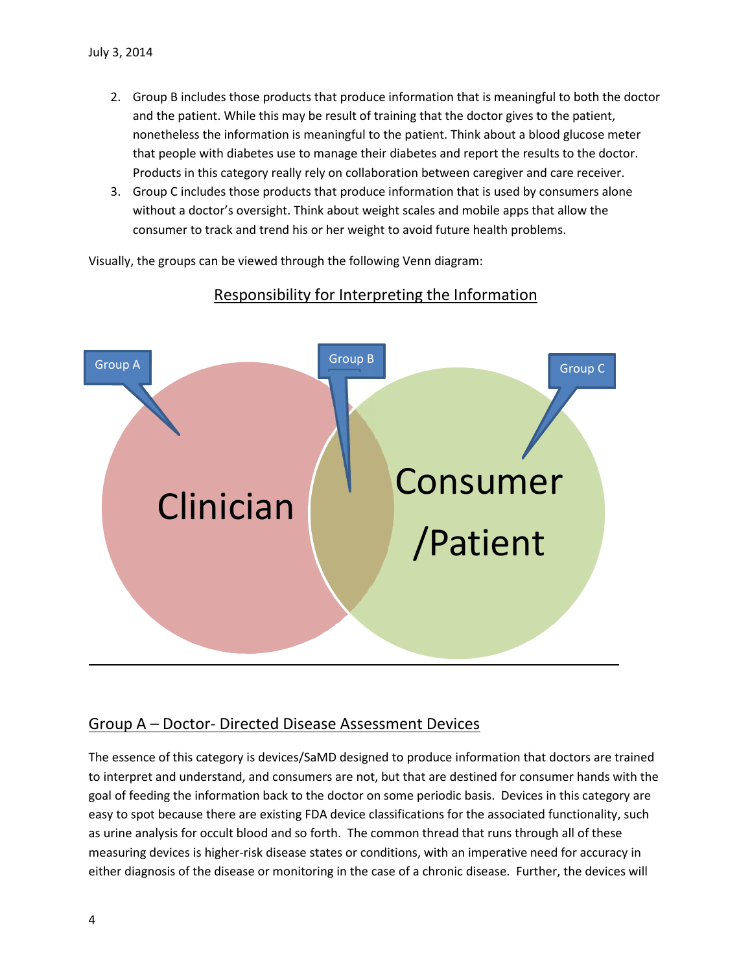- 2. Group B includes those products that produce information that is meaningful to both the doctor and the patient. While this may be result of training that the doctor gives to the patient, nonetheless the information is meaningful to the patient. Think about a blood glucose meter that people with diabetes use to manage their diabetes and report the results to the doctor. Products in this category really rely on collaboration between caregiver and care receiver.
- 3. Group C includes those products that produce information that is used by consumers alone without a doctor's oversight. Think about weight scales and mobile apps that allow the consumer to track and trend his or her weight to avoid future health problems.

Visually, the groups can be viewed through the following Venn diagram:



### Responsibility for Interpreting the Information

### Group A – Doctor- Directed Disease Assessment Devices

The essence of this category is devices/SaMD designed to produce information that doctors are trained to interpret and understand, and consumers are not, but that are destined for consumer hands with the goal of feeding the information back to the doctor on some periodic basis. Devices in this category are easy to spot because there are existing FDA device classifications for the associated functionality, such as urine analysis for occult blood and so forth. The common thread that runs through all of these measuring devices is higher-risk disease states or conditions, with an imperative need for accuracy in either diagnosis of the disease or monitoring in the case of a chronic disease. Further, the devices will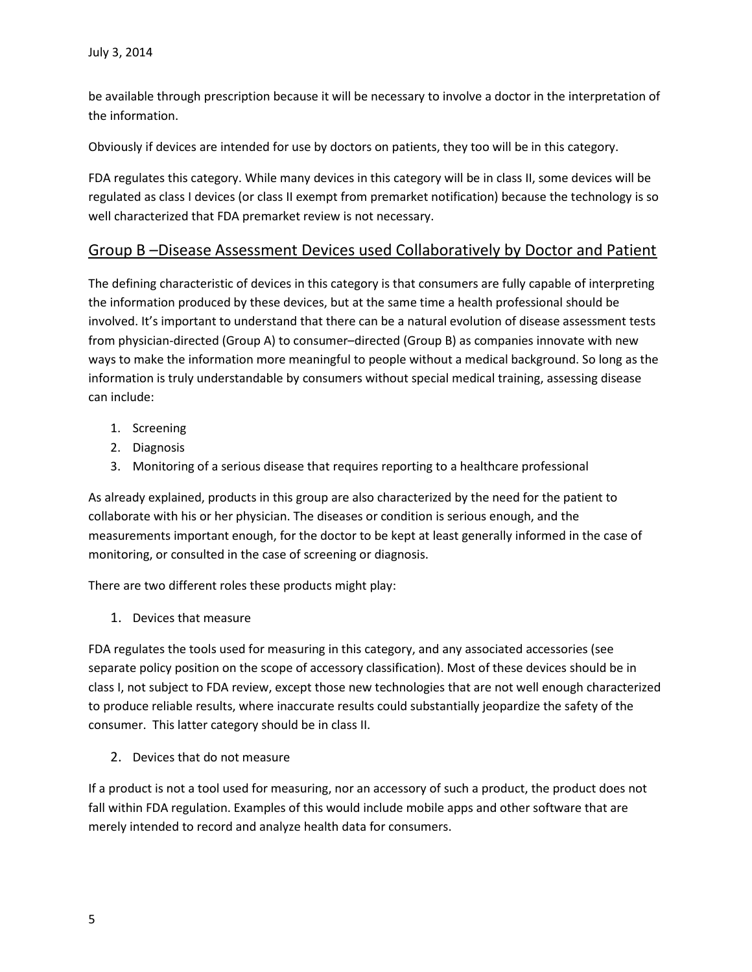be available through prescription because it will be necessary to involve a doctor in the interpretation of the information.

Obviously if devices are intended for use by doctors on patients, they too will be in this category.

FDA regulates this category. While many devices in this category will be in class II, some devices will be regulated as class I devices (or class II exempt from premarket notification) because the technology is so well characterized that FDA premarket review is not necessary.

#### Group B –Disease Assessment Devices used Collaboratively by Doctor and Patient

The defining characteristic of devices in this category is that consumers are fully capable of interpreting the information produced by these devices, but at the same time a health professional should be involved. It's important to understand that there can be a natural evolution of disease assessment tests from physician-directed (Group A) to consumer–directed (Group B) as companies innovate with new ways to make the information more meaningful to people without a medical background. So long as the information is truly understandable by consumers without special medical training, assessing disease can include:

- 1. Screening
- 2. Diagnosis
- 3. Monitoring of a serious disease that requires reporting to a healthcare professional

As already explained, products in this group are also characterized by the need for the patient to collaborate with his or her physician. The diseases or condition is serious enough, and the measurements important enough, for the doctor to be kept at least generally informed in the case of monitoring, or consulted in the case of screening or diagnosis.

There are two different roles these products might play:

1. Devices that measure

FDA regulates the tools used for measuring in this category, and any associated accessories (see separate policy position on the scope of accessory classification). Most of these devices should be in class I, not subject to FDA review, except those new technologies that are not well enough characterized to produce reliable results, where inaccurate results could substantially jeopardize the safety of the consumer. This latter category should be in class II.

2. Devices that do not measure

If a product is not a tool used for measuring, nor an accessory of such a product, the product does not fall within FDA regulation. Examples of this would include mobile apps and other software that are merely intended to record and analyze health data for consumers.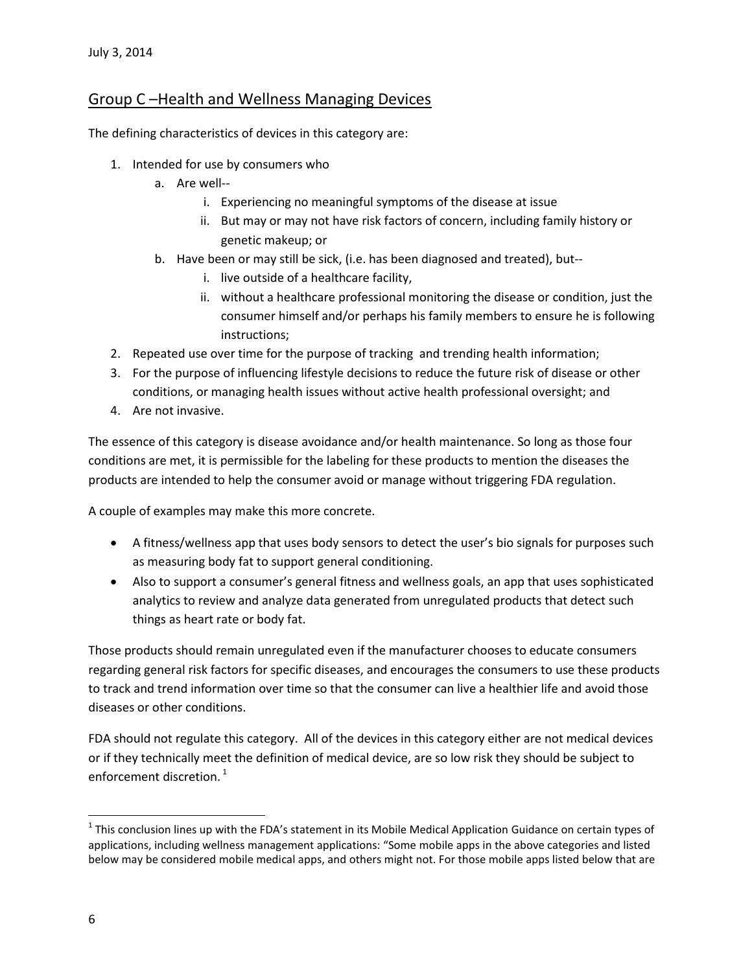### Group C –Health and Wellness Managing Devices

The defining characteristics of devices in this category are:

- 1. Intended for use by consumers who
	- a. Are well-
		- i. Experiencing no meaningful symptoms of the disease at issue
		- ii. But may or may not have risk factors of concern, including family history or genetic makeup; or
	- b. Have been or may still be sick, (i.e. has been diagnosed and treated), but-
		- i. live outside of a healthcare facility,
		- ii. without a healthcare professional monitoring the disease or condition, just the consumer himself and/or perhaps his family members to ensure he is following instructions;
- 2. Repeated use over time for the purpose of tracking and trending health information;
- 3. For the purpose of influencing lifestyle decisions to reduce the future risk of disease or other conditions, or managing health issues without active health professional oversight; and
- 4. Are not invasive.

The essence of this category is disease avoidance and/or health maintenance. So long as those four conditions are met, it is permissible for the labeling for these products to mention the diseases the products are intended to help the consumer avoid or manage without triggering FDA regulation.

A couple of examples may make this more concrete.

- A fitness/wellness app that uses body sensors to detect the user's bio signals for purposes such as measuring body fat to support general conditioning.
- Also to support a consumer's general fitness and wellness goals, an app that uses sophisticated analytics to review and analyze data generated from unregulated products that detect such things as heart rate or body fat.

Those products should remain unregulated even if the manufacturer chooses to educate consumers regarding general risk factors for specific diseases, and encourages the consumers to use these products to track and trend information over time so that the consumer can live a healthier life and avoid those diseases or other conditions.

FDA should not regulate this category. All of the devices in this category either are not medical devices or if they technically meet the definition of medical device, are so low risk they should be subject to enforcement discretion.<sup>[1](#page-5-0)</sup>

<span id="page-5-0"></span><sup>&</sup>lt;sup>1</sup> This conclusion lines up with the FDA's statement in its Mobile Medical Application Guidance on certain types of applications, including wellness management applications: "Some mobile apps in the above categories and listed below may be considered mobile medical apps, and others might not. For those mobile apps listed below that are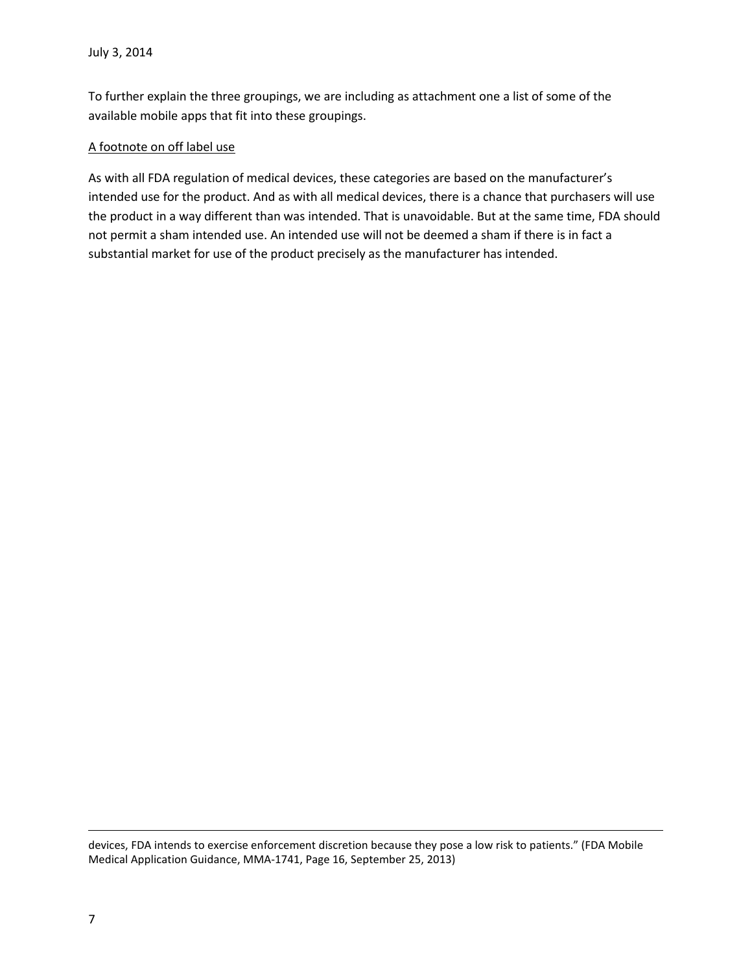To further explain the three groupings, we are including as attachment one a list of some of the available mobile apps that fit into these groupings.

#### A footnote on off label use

As with all FDA regulation of medical devices, these categories are based on the manufacturer's intended use for the product. And as with all medical devices, there is a chance that purchasers will use the product in a way different than was intended. That is unavoidable. But at the same time, FDA should not permit a sham intended use. An intended use will not be deemed a sham if there is in fact a substantial market for use of the product precisely as the manufacturer has intended.

devices, FDA intends to exercise enforcement discretion because they pose a low risk to patients." (FDA Mobile Medical Application Guidance, MMA-1741, Page 16, September 25, 2013)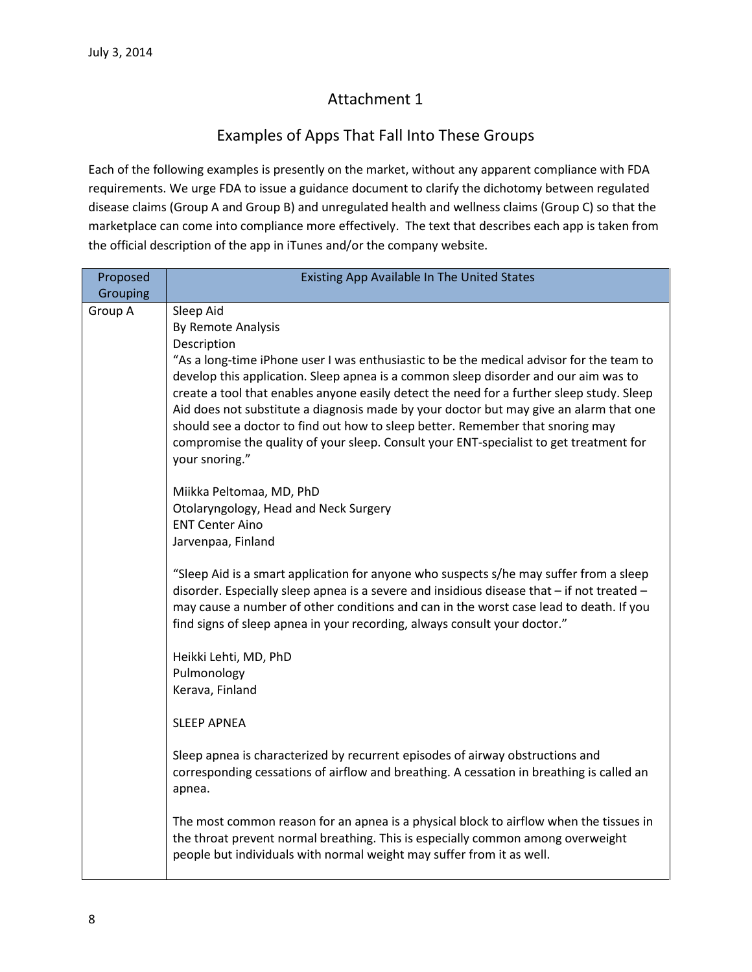## Attachment 1

## Examples of Apps That Fall Into These Groups

Each of the following examples is presently on the market, without any apparent compliance with FDA requirements. We urge FDA to issue a guidance document to clarify the dichotomy between regulated disease claims (Group A and Group B) and unregulated health and wellness claims (Group C) so that the marketplace can come into compliance more effectively. The text that describes each app is taken from the official description of the app in iTunes and/or the company website.

| Proposed<br>Grouping | Existing App Available In The United States                                                                                                                                                                                                                                                                                                                                                                                                                                                                                                                                                                            |
|----------------------|------------------------------------------------------------------------------------------------------------------------------------------------------------------------------------------------------------------------------------------------------------------------------------------------------------------------------------------------------------------------------------------------------------------------------------------------------------------------------------------------------------------------------------------------------------------------------------------------------------------------|
| Group A              | Sleep Aid<br>By Remote Analysis<br>Description<br>"As a long-time iPhone user I was enthusiastic to be the medical advisor for the team to<br>develop this application. Sleep apnea is a common sleep disorder and our aim was to<br>create a tool that enables anyone easily detect the need for a further sleep study. Sleep<br>Aid does not substitute a diagnosis made by your doctor but may give an alarm that one<br>should see a doctor to find out how to sleep better. Remember that snoring may<br>compromise the quality of your sleep. Consult your ENT-specialist to get treatment for<br>your snoring." |
|                      | Miikka Peltomaa, MD, PhD<br>Otolaryngology, Head and Neck Surgery<br><b>ENT Center Aino</b><br>Jarvenpaa, Finland                                                                                                                                                                                                                                                                                                                                                                                                                                                                                                      |
|                      | "Sleep Aid is a smart application for anyone who suspects s/he may suffer from a sleep<br>disorder. Especially sleep apnea is a severe and insidious disease that - if not treated -<br>may cause a number of other conditions and can in the worst case lead to death. If you<br>find signs of sleep apnea in your recording, always consult your doctor."                                                                                                                                                                                                                                                            |
|                      | Heikki Lehti, MD, PhD<br>Pulmonology<br>Kerava, Finland                                                                                                                                                                                                                                                                                                                                                                                                                                                                                                                                                                |
|                      | <b>SLEEP APNEA</b>                                                                                                                                                                                                                                                                                                                                                                                                                                                                                                                                                                                                     |
|                      | Sleep apnea is characterized by recurrent episodes of airway obstructions and<br>corresponding cessations of airflow and breathing. A cessation in breathing is called an<br>apnea.                                                                                                                                                                                                                                                                                                                                                                                                                                    |
|                      | The most common reason for an apnea is a physical block to airflow when the tissues in<br>the throat prevent normal breathing. This is especially common among overweight<br>people but individuals with normal weight may suffer from it as well.                                                                                                                                                                                                                                                                                                                                                                     |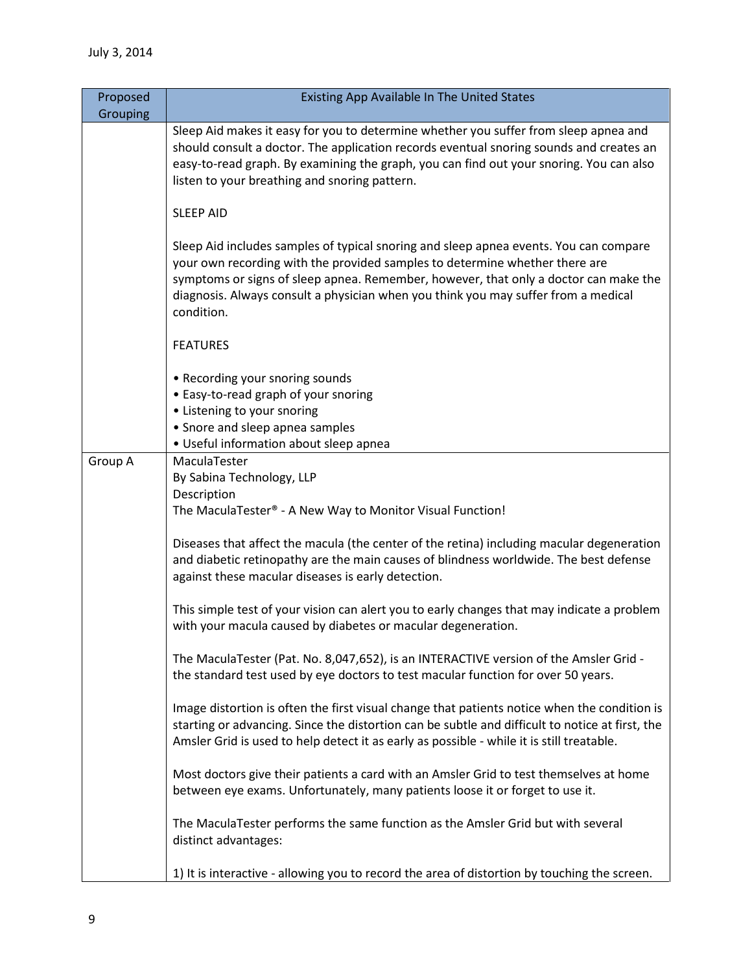| Proposed | Existing App Available In The United States                                                                                                                                                                                                                                                                                                                      |
|----------|------------------------------------------------------------------------------------------------------------------------------------------------------------------------------------------------------------------------------------------------------------------------------------------------------------------------------------------------------------------|
| Grouping |                                                                                                                                                                                                                                                                                                                                                                  |
|          | Sleep Aid makes it easy for you to determine whether you suffer from sleep apnea and<br>should consult a doctor. The application records eventual snoring sounds and creates an<br>easy-to-read graph. By examining the graph, you can find out your snoring. You can also<br>listen to your breathing and snoring pattern.                                      |
|          | <b>SLEEP AID</b>                                                                                                                                                                                                                                                                                                                                                 |
|          | Sleep Aid includes samples of typical snoring and sleep apnea events. You can compare<br>your own recording with the provided samples to determine whether there are<br>symptoms or signs of sleep apnea. Remember, however, that only a doctor can make the<br>diagnosis. Always consult a physician when you think you may suffer from a medical<br>condition. |
|          | <b>FEATURES</b>                                                                                                                                                                                                                                                                                                                                                  |
|          | • Recording your snoring sounds<br>• Easy-to-read graph of your snoring<br>• Listening to your snoring<br>• Snore and sleep apnea samples<br>• Useful information about sleep apnea                                                                                                                                                                              |
| Group A  | MaculaTester                                                                                                                                                                                                                                                                                                                                                     |
|          | By Sabina Technology, LLP                                                                                                                                                                                                                                                                                                                                        |
|          | Description                                                                                                                                                                                                                                                                                                                                                      |
|          | The MaculaTester® - A New Way to Monitor Visual Function!                                                                                                                                                                                                                                                                                                        |
|          | Diseases that affect the macula (the center of the retina) including macular degeneration<br>and diabetic retinopathy are the main causes of blindness worldwide. The best defense<br>against these macular diseases is early detection.                                                                                                                         |
|          | This simple test of your vision can alert you to early changes that may indicate a problem<br>with your macula caused by diabetes or macular degeneration.                                                                                                                                                                                                       |
|          | The MaculaTester (Pat. No. 8,047,652), is an INTERACTIVE version of the Amsler Grid -<br>the standard test used by eye doctors to test macular function for over 50 years.                                                                                                                                                                                       |
|          | Image distortion is often the first visual change that patients notice when the condition is<br>starting or advancing. Since the distortion can be subtle and difficult to notice at first, the<br>Amsler Grid is used to help detect it as early as possible - while it is still treatable.                                                                     |
|          | Most doctors give their patients a card with an Amsler Grid to test themselves at home<br>between eye exams. Unfortunately, many patients loose it or forget to use it.                                                                                                                                                                                          |
|          | The MaculaTester performs the same function as the Amsler Grid but with several<br>distinct advantages:                                                                                                                                                                                                                                                          |
|          | 1) It is interactive - allowing you to record the area of distortion by touching the screen.                                                                                                                                                                                                                                                                     |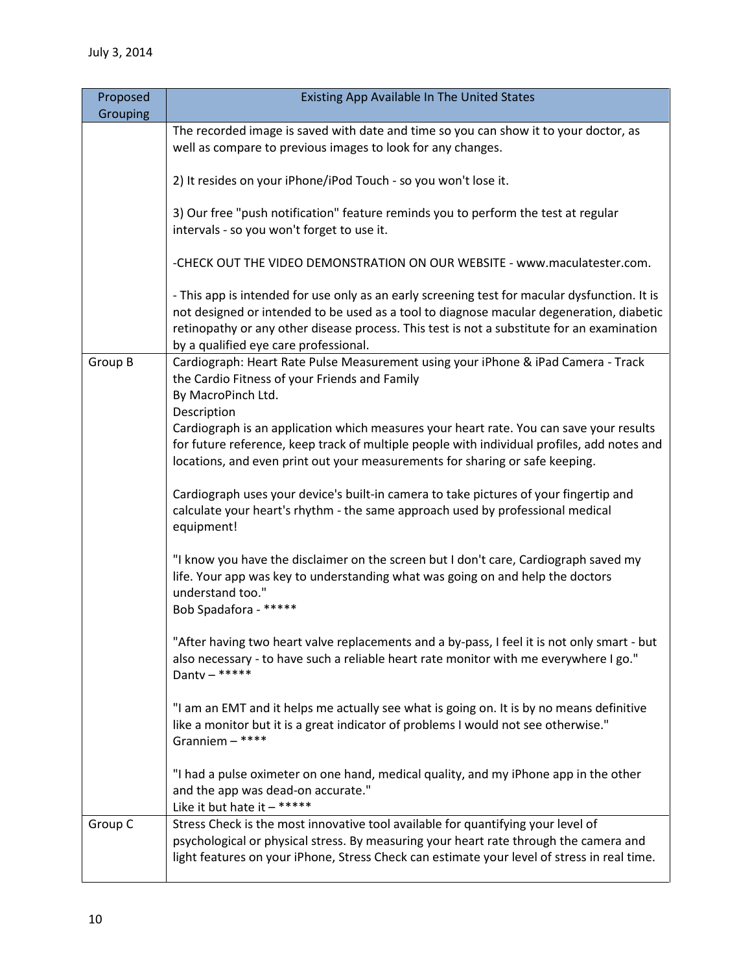| Proposed<br>Grouping | Existing App Available In The United States                                                                                                                                                                                                                                                                                      |
|----------------------|----------------------------------------------------------------------------------------------------------------------------------------------------------------------------------------------------------------------------------------------------------------------------------------------------------------------------------|
|                      | The recorded image is saved with date and time so you can show it to your doctor, as<br>well as compare to previous images to look for any changes.                                                                                                                                                                              |
|                      | 2) It resides on your iPhone/iPod Touch - so you won't lose it.                                                                                                                                                                                                                                                                  |
|                      | 3) Our free "push notification" feature reminds you to perform the test at regular<br>intervals - so you won't forget to use it.                                                                                                                                                                                                 |
|                      | -CHECK OUT THE VIDEO DEMONSTRATION ON OUR WEBSITE - www.maculatester.com.                                                                                                                                                                                                                                                        |
|                      | - This app is intended for use only as an early screening test for macular dysfunction. It is<br>not designed or intended to be used as a tool to diagnose macular degeneration, diabetic<br>retinopathy or any other disease process. This test is not a substitute for an examination<br>by a qualified eye care professional. |
| Group B              | Cardiograph: Heart Rate Pulse Measurement using your iPhone & iPad Camera - Track<br>the Cardio Fitness of your Friends and Family<br>By MacroPinch Ltd.<br>Description                                                                                                                                                          |
|                      | Cardiograph is an application which measures your heart rate. You can save your results<br>for future reference, keep track of multiple people with individual profiles, add notes and<br>locations, and even print out your measurements for sharing or safe keeping.                                                           |
|                      | Cardiograph uses your device's built-in camera to take pictures of your fingertip and<br>calculate your heart's rhythm - the same approach used by professional medical<br>equipment!                                                                                                                                            |
|                      | "I know you have the disclaimer on the screen but I don't care, Cardiograph saved my<br>life. Your app was key to understanding what was going on and help the doctors<br>understand too."<br>Bob Spadafora - *****                                                                                                              |
|                      | "After having two heart valve replacements and a by-pass, I feel it is not only smart - but<br>also necessary - to have such a reliable heart rate monitor with me everywhere I go."<br>Danty $-$ *****                                                                                                                          |
|                      | "I am an EMT and it helps me actually see what is going on. It is by no means definitive<br>like a monitor but it is a great indicator of problems I would not see otherwise."<br>Granniem - ****                                                                                                                                |
|                      | "I had a pulse oximeter on one hand, medical quality, and my iPhone app in the other<br>and the app was dead-on accurate."<br>Like it but hate it $-$ *****                                                                                                                                                                      |
| Group C              | Stress Check is the most innovative tool available for quantifying your level of<br>psychological or physical stress. By measuring your heart rate through the camera and<br>light features on your iPhone, Stress Check can estimate your level of stress in real time.                                                         |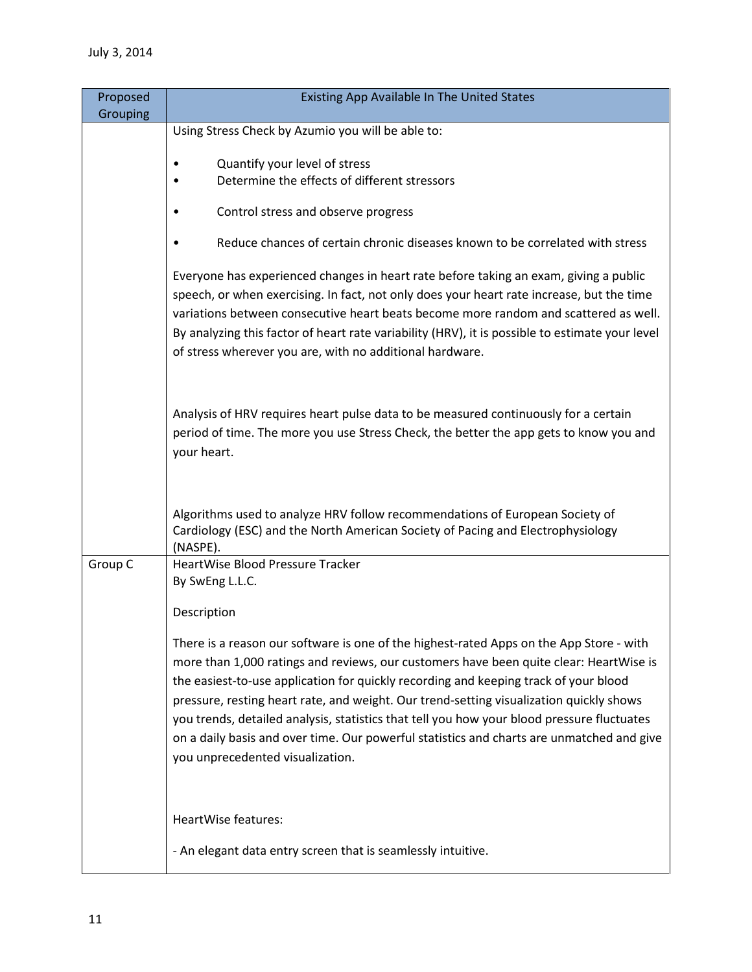| Proposed<br>Grouping | Existing App Available In The United States                                                                                                                                                                                                                                                                                                                                                                                                                                                                                                                                                         |
|----------------------|-----------------------------------------------------------------------------------------------------------------------------------------------------------------------------------------------------------------------------------------------------------------------------------------------------------------------------------------------------------------------------------------------------------------------------------------------------------------------------------------------------------------------------------------------------------------------------------------------------|
|                      | Using Stress Check by Azumio you will be able to:                                                                                                                                                                                                                                                                                                                                                                                                                                                                                                                                                   |
|                      | Quantify your level of stress<br>٠<br>Determine the effects of different stressors                                                                                                                                                                                                                                                                                                                                                                                                                                                                                                                  |
|                      | Control stress and observe progress                                                                                                                                                                                                                                                                                                                                                                                                                                                                                                                                                                 |
|                      | Reduce chances of certain chronic diseases known to be correlated with stress                                                                                                                                                                                                                                                                                                                                                                                                                                                                                                                       |
|                      | Everyone has experienced changes in heart rate before taking an exam, giving a public<br>speech, or when exercising. In fact, not only does your heart rate increase, but the time<br>variations between consecutive heart beats become more random and scattered as well.<br>By analyzing this factor of heart rate variability (HRV), it is possible to estimate your level<br>of stress wherever you are, with no additional hardware.                                                                                                                                                           |
|                      | Analysis of HRV requires heart pulse data to be measured continuously for a certain<br>period of time. The more you use Stress Check, the better the app gets to know you and<br>your heart.                                                                                                                                                                                                                                                                                                                                                                                                        |
|                      | Algorithms used to analyze HRV follow recommendations of European Society of<br>Cardiology (ESC) and the North American Society of Pacing and Electrophysiology<br>(NASPE).                                                                                                                                                                                                                                                                                                                                                                                                                         |
| Group C              | HeartWise Blood Pressure Tracker<br>By SwEng L.L.C.                                                                                                                                                                                                                                                                                                                                                                                                                                                                                                                                                 |
|                      | Description                                                                                                                                                                                                                                                                                                                                                                                                                                                                                                                                                                                         |
|                      | There is a reason our software is one of the highest-rated Apps on the App Store - with<br>more than 1,000 ratings and reviews, our customers have been quite clear: HeartWise is<br>the easiest-to-use application for quickly recording and keeping track of your blood<br>pressure, resting heart rate, and weight. Our trend-setting visualization quickly shows<br>you trends, detailed analysis, statistics that tell you how your blood pressure fluctuates<br>on a daily basis and over time. Our powerful statistics and charts are unmatched and give<br>you unprecedented visualization. |
|                      | HeartWise features:                                                                                                                                                                                                                                                                                                                                                                                                                                                                                                                                                                                 |
|                      | - An elegant data entry screen that is seamlessly intuitive.                                                                                                                                                                                                                                                                                                                                                                                                                                                                                                                                        |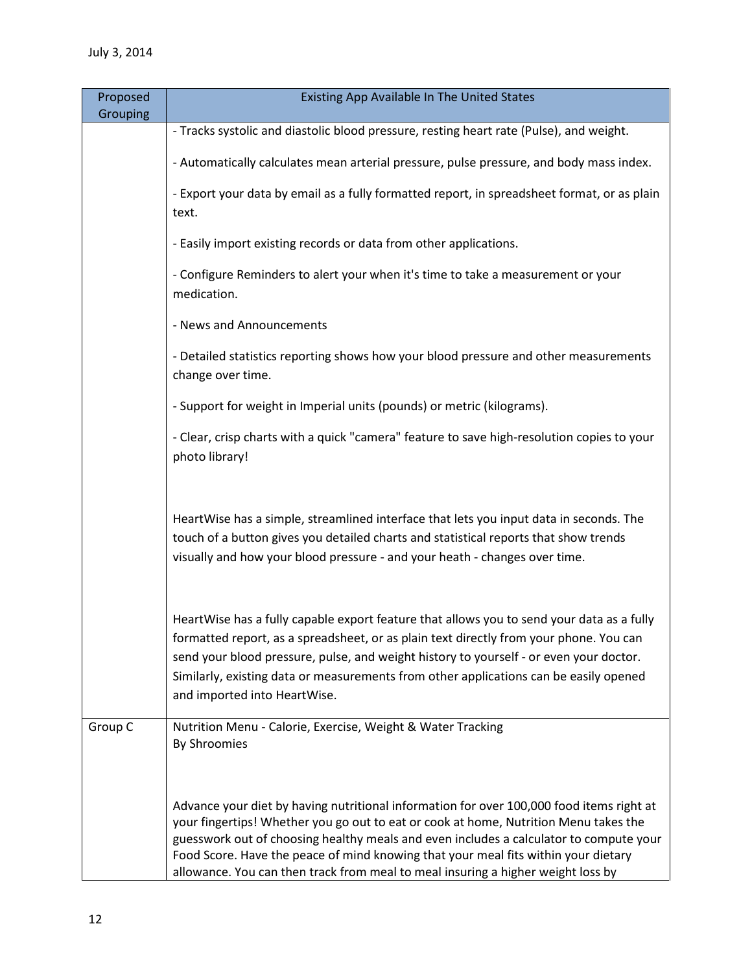| Proposed<br>Grouping | Existing App Available In The United States                                                                                                                                                                                                                                                                                                                                                                                                          |
|----------------------|------------------------------------------------------------------------------------------------------------------------------------------------------------------------------------------------------------------------------------------------------------------------------------------------------------------------------------------------------------------------------------------------------------------------------------------------------|
|                      | - Tracks systolic and diastolic blood pressure, resting heart rate (Pulse), and weight.                                                                                                                                                                                                                                                                                                                                                              |
|                      | - Automatically calculates mean arterial pressure, pulse pressure, and body mass index.                                                                                                                                                                                                                                                                                                                                                              |
|                      | - Export your data by email as a fully formatted report, in spreadsheet format, or as plain<br>text.                                                                                                                                                                                                                                                                                                                                                 |
|                      | - Easily import existing records or data from other applications.                                                                                                                                                                                                                                                                                                                                                                                    |
|                      | - Configure Reminders to alert your when it's time to take a measurement or your<br>medication.                                                                                                                                                                                                                                                                                                                                                      |
|                      | - News and Announcements                                                                                                                                                                                                                                                                                                                                                                                                                             |
|                      | - Detailed statistics reporting shows how your blood pressure and other measurements<br>change over time.                                                                                                                                                                                                                                                                                                                                            |
|                      | - Support for weight in Imperial units (pounds) or metric (kilograms).                                                                                                                                                                                                                                                                                                                                                                               |
|                      | - Clear, crisp charts with a quick "camera" feature to save high-resolution copies to your<br>photo library!                                                                                                                                                                                                                                                                                                                                         |
|                      | HeartWise has a simple, streamlined interface that lets you input data in seconds. The<br>touch of a button gives you detailed charts and statistical reports that show trends<br>visually and how your blood pressure - and your heath - changes over time.                                                                                                                                                                                         |
|                      | HeartWise has a fully capable export feature that allows you to send your data as a fully<br>formatted report, as a spreadsheet, or as plain text directly from your phone. You can<br>send your blood pressure, pulse, and weight history to yourself - or even your doctor.<br>Similarly, existing data or measurements from other applications can be easily opened<br>and imported into HeartWise.                                               |
| Group C              | Nutrition Menu - Calorie, Exercise, Weight & Water Tracking<br>By Shroomies                                                                                                                                                                                                                                                                                                                                                                          |
|                      | Advance your diet by having nutritional information for over 100,000 food items right at<br>your fingertips! Whether you go out to eat or cook at home, Nutrition Menu takes the<br>guesswork out of choosing healthy meals and even includes a calculator to compute your<br>Food Score. Have the peace of mind knowing that your meal fits within your dietary<br>allowance. You can then track from meal to meal insuring a higher weight loss by |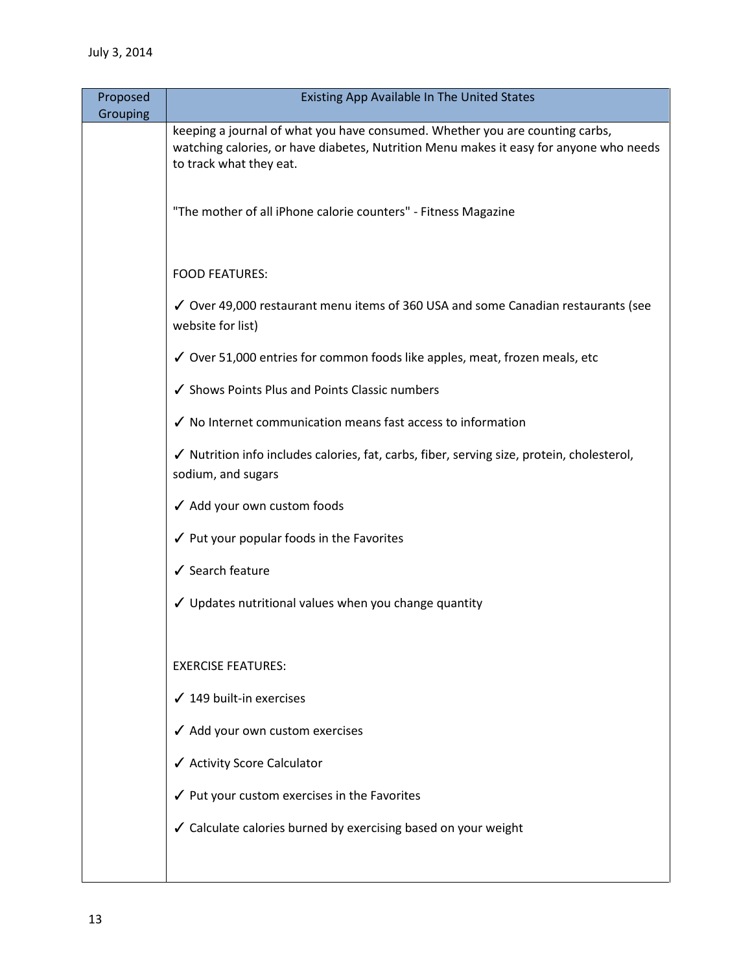| Proposed<br>Grouping | Existing App Available In The United States                                                                                                                                                       |
|----------------------|---------------------------------------------------------------------------------------------------------------------------------------------------------------------------------------------------|
|                      | keeping a journal of what you have consumed. Whether you are counting carbs,<br>watching calories, or have diabetes, Nutrition Menu makes it easy for anyone who needs<br>to track what they eat. |
|                      | "The mother of all iPhone calorie counters" - Fitness Magazine                                                                                                                                    |
|                      | <b>FOOD FEATURES:</b>                                                                                                                                                                             |
|                      | √ Over 49,000 restaurant menu items of 360 USA and some Canadian restaurants (see<br>website for list)                                                                                            |
|                      | √ Over 51,000 entries for common foods like apples, meat, frozen meals, etc                                                                                                                       |
|                      | ✔ Shows Points Plus and Points Classic numbers                                                                                                                                                    |
|                      | √ No Internet communication means fast access to information                                                                                                                                      |
|                      | √ Nutrition info includes calories, fat, carbs, fiber, serving size, protein, cholesterol,<br>sodium, and sugars                                                                                  |
|                      | ✔ Add your own custom foods                                                                                                                                                                       |
|                      | ✔ Put your popular foods in the Favorites                                                                                                                                                         |
|                      | ✔ Search feature                                                                                                                                                                                  |
|                      | ✔ Updates nutritional values when you change quantity                                                                                                                                             |
|                      | <b>EXERCISE FEATURES:</b>                                                                                                                                                                         |
|                      | $\checkmark$ 149 built-in exercises                                                                                                                                                               |
|                      | √ Add your own custom exercises                                                                                                                                                                   |
|                      | ✔ Activity Score Calculator                                                                                                                                                                       |
|                      | √ Put your custom exercises in the Favorites                                                                                                                                                      |
|                      | ✔ Calculate calories burned by exercising based on your weight                                                                                                                                    |